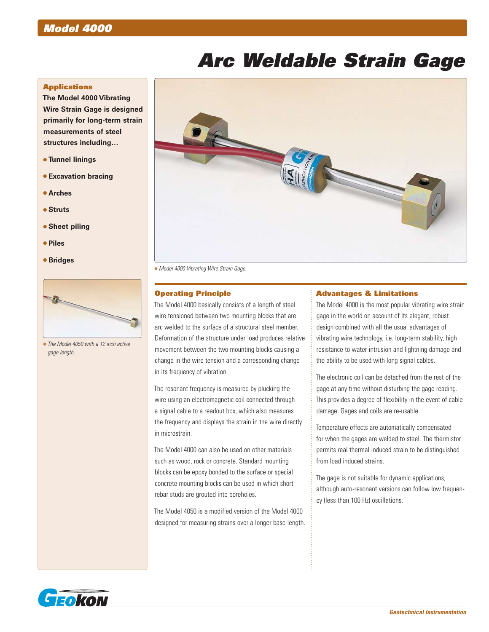# *Model 4000*

# *Arc Weldable Strain Gage*

### **Applications**

**The Model 4000 Vibrating Wire Strain Gage is designed primarily for long-term strain measurements of steel structures including…**

- **Tunnel linings**
- **Excavation bracing**
- **Arches**
- **Struts**
- **Sheet piling**
- **Piles**
- **Bridges**



 *The Model 4050 with a 12 inch active gage length.*



*Model 4000 Vibrating Wire Strain Gage.*

#### Operating Principle

The Model 4000 basically consists of a length of steel wire tensioned between two mounting blocks that are arc welded to the surface of a structural steel member. Deformation of the structure under load produces relative movement between the two mounting blocks causing a change in the wire tension and a corresponding change in its frequency of vibration.

The resonant frequency is measured by plucking the wire using an electromagnetic coil connected through a signal cable to a readout box, which also measures the frequency and displays the strain in the wire directly in microstrain.

The Model 4000 can also be used on other materials such as wood, rock or concrete. Standard mounting blocks can be epoxy bonded to the surface or special concrete mounting blocks can be used in which short rebar studs are grouted into boreholes.

The Model 4050 is a modified version of the Model 4000 designed for measuring strains over a longer base length.

#### Advantages & Limitations

The Model 4000 is the most popular vibrating wire strain gage in the world on account of its elegant, robust design combined with all the usual advantages of vibrating wire technology, i.e. long-term stability, high resistance to water intrusion and lightning damage and the ability to be used with long signal cables.

The electronic coil can be detached from the rest of the gage at any time without disturbing the gage reading. This provides a degree of flexibility in the event of cable damage. Gages and coils are re-usable.

Temperature effects are automatically compensated for when the gages are welded to steel. The thermistor permits real thermal induced strain to be distinguished from load induced strains.

The gage is not suitable for dynamic applications, although auto-resonant versions can follow low frequency (less than 100 Hz) oscillations.